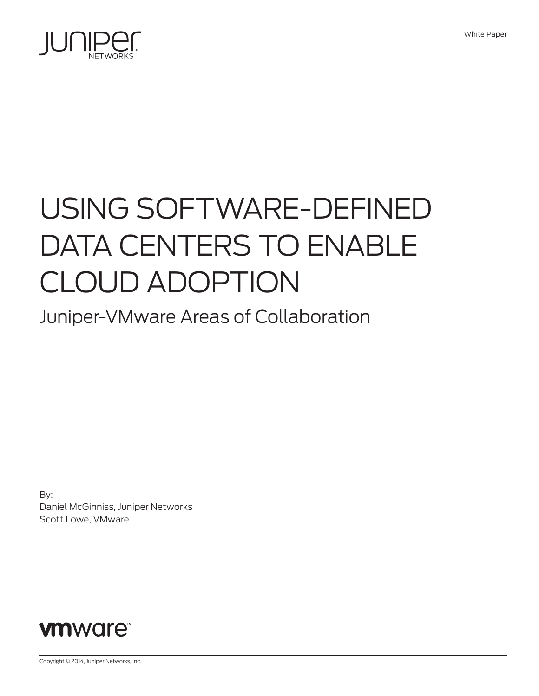

# USING SOFTWARE-DEFINED DATA CENTERS TO ENABLE CLOUD ADOPTION

Juniper-VMware Areas of Collaboration

By: Daniel McGinniss, Juniper Networks Scott Lowe, VMware



Copyright © 2014, Juniper Networks, Inc.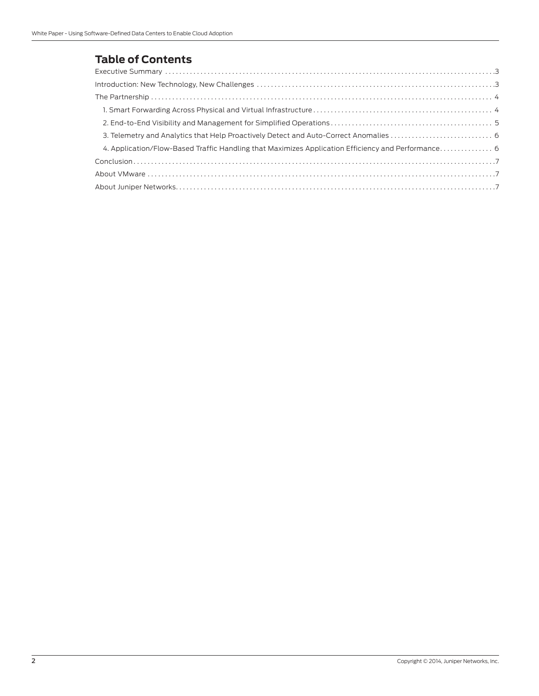# **Table of Contents**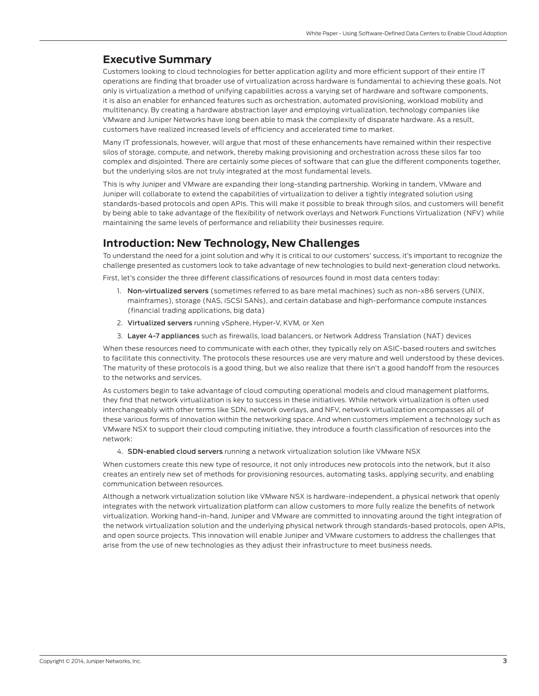# <span id="page-2-0"></span>**Executive Summary**

Customers looking to cloud technologies for better application agility and more efficient support of their entire IT operations are finding that broader use of virtualization across hardware is fundamental to achieving these goals. Not only is virtualization a method of unifying capabilities across a varying set of hardware and software components, it is also an enabler for enhanced features such as orchestration, automated provisioning, workload mobility and multitenancy. By creating a hardware abstraction layer and employing virtualization, technology companies like VMware and Juniper Networks have long been able to mask the complexity of disparate hardware. As a result, customers have realized increased levels of efficiency and accelerated time to market.

Many IT professionals, however, will argue that most of these enhancements have remained within their respective silos of storage, compute, and network, thereby making provisioning and orchestration across these silos far too complex and disjointed. There are certainly some pieces of software that can glue the different components together, but the underlying silos are not truly integrated at the most fundamental levels.

This is why Juniper and VMware are expanding their long-standing partnership. Working in tandem, VMware and Juniper will collaborate to extend the capabilities of virtualization to deliver a tightly integrated solution using standards-based protocols and open APIs. This will make it possible to break through silos, and customers will benefit by being able to take advantage of the flexibility of network overlays and Network Functions Virtualization (NFV) while maintaining the same levels of performance and reliability their businesses require.

# **Introduction: New Technology, New Challenges**

To understand the need for a joint solution and why it is critical to our customers' success, it's important to recognize the challenge presented as customers look to take advantage of new technologies to build next-generation cloud networks.

First, let's consider the three different classifications of resources found in most data centers today:

- 1. Non-virtualized servers (sometimes referred to as bare metal machines) such as non-x86 servers (UNIX, mainframes), storage (NAS, iSCSI SANs), and certain database and high-performance compute instances (financial trading applications, big data)
- 2. Virtualized servers running vSphere, Hyper-V, KVM, or Xen
- 3. Layer 4-7 appliances such as firewalls, load balancers, or Network Address Translation (NAT) devices

When these resources need to communicate with each other, they typically rely on ASIC-based routers and switches to facilitate this connectivity. The protocols these resources use are very mature and well understood by these devices. The maturity of these protocols is a good thing, but we also realize that there isn't a good handoff from the resources to the networks and services.

As customers begin to take advantage of cloud computing operational models and cloud management platforms, they find that network virtualization is key to success in these initiatives. While network virtualization is often used interchangeably with other terms like SDN, network overlays, and NFV, network virtualization encompasses all of these various forms of innovation within the networking space. And when customers implement a technology such as VMware NSX to support their cloud computing initiative, they introduce a fourth classification of resources into the network:

4. SDN-enabled cloud servers running a network virtualization solution like VMware NSX

When customers create this new type of resource, it not only introduces new protocols into the network, but it also creates an entirely new set of methods for provisioning resources, automating tasks, applying security, and enabling communication between resources.

Although a network virtualization solution like VMware NSX is hardware-independent, a physical network that openly integrates with the network virtualization platform can allow customers to more fully realize the benefits of network virtualization. Working hand-in-hand, Juniper and VMware are committed to innovating around the tight integration of the network virtualization solution and the underlying physical network through standards-based protocols, open APIs, and open source projects. This innovation will enable Juniper and VMware customers to address the challenges that arise from the use of new technologies as they adjust their infrastructure to meet business needs.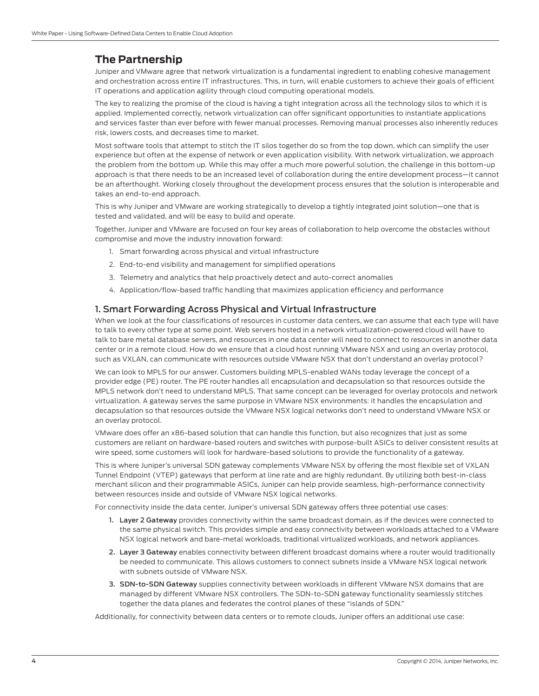# <span id="page-3-0"></span>**The Partnership**

Juniper and VMware agree that network virtualization is a fundamental ingredient to enabling cohesive management and orchestration across entire IT infrastructures. This, in turn, will enable customers to achieve their goals of efficient IT operations and application agility through cloud computing operational models.

The key to realizing the promise of the cloud is having a tight integration across all the technology silos to which it is applied. Implemented correctly, network virtualization can offer significant opportunities to instantiate applications and services faster than ever before with fewer manual processes. Removing manual processes also inherently reduces risk, lowers costs, and decreases time to market.

Most software tools that attempt to stitch the IT silos together do so from the top down, which can simplify the user experience but often at the expense of network or even application visibility. With network virtualization, we approach the problem from the bottom up. While this may offer a much more powerful solution, the challenge in this bottom-up approach is that there needs to be an increased level of collaboration during the entire development process—it cannot be an afterthought. Working closely throughout the development process ensures that the solution is interoperable and takes an end-to-end approach.

This is why Juniper and VMware are working strategically to develop a tightly integrated joint solution—one that is tested and validated, and will be easy to build and operate.

Together, Juniper and VMware are focused on four key areas of collaboration to help overcome the obstacles without compromise and move the industry innovation forward:

- 1. Smart forwarding across physical and virtual infrastructure
- 2. End-to-end visibility and management for simplified operations
- 3. Telemetry and analytics that help proactively detect and auto-correct anomalies
- 4. Application/flow-based traffic handling that maximizes application efficiency and performance

## 1. Smart Forwarding Across Physical and Virtual Infrastructure

When we look at the four classifications of resources in customer data centers, we can assume that each type will have to talk to every other type at some point. Web servers hosted in a network virtualization-powered cloud will have to talk to bare metal database servers, and resources in one data center will need to connect to resources in another data center or in a remote cloud. How do we ensure that a cloud host running VMware NSX and using an overlay protocol, such as VXLAN, can communicate with resources outside VMware NSX that don't understand an overlay protocol?

We can look to MPLS for our answer. Customers building MPLS-enabled WANs today leverage the concept of a provider edge (PE) router. The PE router handles all encapsulation and decapsulation so that resources outside the MPLS network don't need to understand MPLS. That same concept can be leveraged for overlay protocols and network virtualization. A gateway serves the same purpose in VMware NSX environments: it handles the encapsulation and decapsulation so that resources outside the VMware NSX logical networks don't need to understand VMware NSX or an overlay protocol.

VMware does offer an x86-based solution that can handle this function, but also recognizes that just as some customers are reliant on hardware-based routers and switches with purpose-built ASICs to deliver consistent results at wire speed, some customers will look for hardware-based solutions to provide the functionality of a gateway.

This is where Juniper's universal SDN gateway complements VMware NSX by offering the most flexible set of VXLAN Tunnel Endpoint (VTEP) gateways that perform at line rate and are highly redundant. By utilizing both best-in-class merchant silicon and their programmable ASICs, Juniper can help provide seamless, high-performance connectivity between resources inside and outside of VMware NSX logical networks.

For connectivity inside the data center, Juniper's universal SDN gateway offers three potential use cases:

- 1. Layer 2 Gateway provides connectivity within the same broadcast domain, as if the devices were connected to the same physical switch. This provides simple and easy connectivity between workloads attached to a VMware NSX logical network and bare-metal workloads, traditional virtualized workloads, and network appliances.
- 2. Layer 3 Gateway enables connectivity between different broadcast domains where a router would traditionally be needed to communicate. This allows customers to connect subnets inside a VMware NSX logical network with subnets outside of VMware NSX.
- 3. SDN-to-SDN Gateway supplies connectivity between workloads in different VMware NSX domains that are managed by different VMware NSX controllers. The SDN-to-SDN gateway functionality seamlessly stitches together the data planes and federates the control planes of these "islands of SDN."

Additionally, for connectivity between data centers or to remote clouds, Juniper offers an additional use case: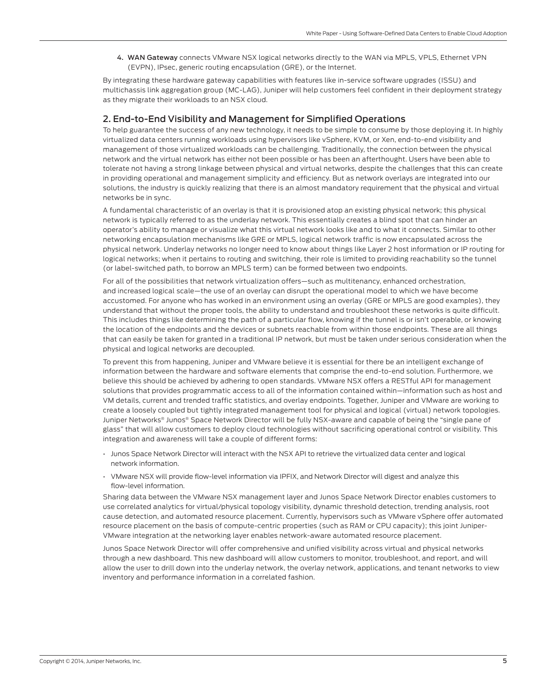4. WAN Gateway connects VMware NSX logical networks directly to the WAN via MPLS, VPLS, Ethernet VPN (EVPN), IPsec, generic routing encapsulation (GRE), or the Internet.

<span id="page-4-0"></span>By integrating these hardware gateway capabilities with features like in-service software upgrades (ISSU) and multichassis link aggregation group (MC-LAG), Juniper will help customers feel confident in their deployment strategy as they migrate their workloads to an NSX cloud.

## 2. End-to-End Visibility and Management for Simplified Operations

To help guarantee the success of any new technology, it needs to be simple to consume by those deploying it. In highly virtualized data centers running workloads using hypervisors like vSphere, KVM, or Xen, end-to-end visibility and management of those virtualized workloads can be challenging. Traditionally, the connection between the physical network and the virtual network has either not been possible or has been an afterthought. Users have been able to tolerate not having a strong linkage between physical and virtual networks, despite the challenges that this can create in providing operational and management simplicity and efficiency. But as network overlays are integrated into our solutions, the industry is quickly realizing that there is an almost mandatory requirement that the physical and virtual networks be in sync.

A fundamental characteristic of an overlay is that it is provisioned atop an existing physical network; this physical network is typically referred to as the underlay network. This essentially creates a blind spot that can hinder an operator's ability to manage or visualize what this virtual network looks like and to what it connects. Similar to other networking encapsulation mechanisms like GRE or MPLS, logical network traffic is now encapsulated across the physical network. Underlay networks no longer need to know about things like Layer 2 host information or IP routing for logical networks; when it pertains to routing and switching, their role is limited to providing reachability so the tunnel (or label-switched path, to borrow an MPLS term) can be formed between two endpoints.

For all of the possibilities that network virtualization offers—such as multitenancy, enhanced orchestration, and increased logical scale—the use of an overlay can disrupt the operational model to which we have become accustomed. For anyone who has worked in an environment using an overlay (GRE or MPLS are good examples), they understand that without the proper tools, the ability to understand and troubleshoot these networks is quite difficult. This includes things like determining the path of a particular flow, knowing if the tunnel is or isn't operable, or knowing the location of the endpoints and the devices or subnets reachable from within those endpoints. These are all things that can easily be taken for granted in a traditional IP network, but must be taken under serious consideration when the physical and logical networks are decoupled.

To prevent this from happening, Juniper and VMware believe it is essential for there be an intelligent exchange of information between the hardware and software elements that comprise the end-to-end solution. Furthermore, we believe this should be achieved by adhering to open standards. VMware NSX offers a RESTful API for management solutions that provides programmatic access to all of the information contained within—information such as host and VM details, current and trended traffic statistics, and overlay endpoints. Together, Juniper and VMware are working to create a loosely coupled but tightly integrated management tool for physical and logical (virtual) network topologies. Juniper Networks® Junos® Space Network Director will be fully NSX-aware and capable of being the "single pane of glass" that will allow customers to deploy cloud technologies without sacrificing operational control or visibility. This integration and awareness will take a couple of different forms:

- Junos Space Network Director will interact with the NSX API to retrieve the virtualized data center and logical network information.
- VMware NSX will provide flow-level information via IPFIX, and Network Director will digest and analyze this flow-level information.

Sharing data between the VMware NSX management layer and Junos Space Network Director enables customers to use correlated analytics for virtual/physical topology visibility, dynamic threshold detection, trending analysis, root cause detection, and automated resource placement. Currently, hypervisors such as VMware vSphere offer automated resource placement on the basis of compute-centric properties (such as RAM or CPU capacity); this joint Juniper-VMware integration at the networking layer enables network-aware automated resource placement.

Junos Space Network Director will offer comprehensive and unified visibility across virtual and physical networks through a new dashboard. This new dashboard will allow customers to monitor, troubleshoot, and report, and will allow the user to drill down into the underlay network, the overlay network, applications, and tenant networks to view inventory and performance information in a correlated fashion.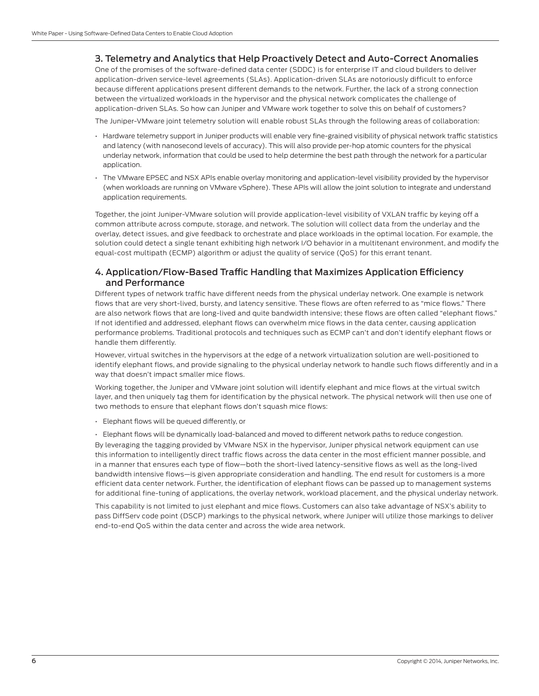#### <span id="page-5-0"></span>3. Telemetry and Analytics that Help Proactively Detect and Auto-Correct Anomalies

One of the promises of the software-defined data center (SDDC) is for enterprise IT and cloud builders to deliver application-driven service-level agreements (SLAs). Application-driven SLAs are notoriously difficult to enforce because different applications present different demands to the network. Further, the lack of a strong connection between the virtualized workloads in the hypervisor and the physical network complicates the challenge of application-driven SLAs. So how can Juniper and VMware work together to solve this on behalf of customers?

The Juniper-VMware joint telemetry solution will enable robust SLAs through the following areas of collaboration:

- Hardware telemetry support in Juniper products will enable very fine-grained visibility of physical network traffic statistics and latency (with nanosecond levels of accuracy). This will also provide per-hop atomic counters for the physical underlay network, information that could be used to help determine the best path through the network for a particular application.
- The VMware EPSEC and NSX APIs enable overlay monitoring and application-level visibility provided by the hypervisor (when workloads are running on VMware vSphere). These APIs will allow the joint solution to integrate and understand application requirements.

Together, the joint Juniper-VMware solution will provide application-level visibility of VXLAN traffic by keying off a common attribute across compute, storage, and network. The solution will collect data from the underlay and the overlay, detect issues, and give feedback to orchestrate and place workloads in the optimal location. For example, the solution could detect a single tenant exhibiting high network I/O behavior in a multitenant environment, and modify the equal-cost multipath (ECMP) algorithm or adjust the quality of service (QoS) for this errant tenant.

#### 4. Application/Flow-Based Traffic Handling that Maximizes Application Efficiency and Performance

Different types of network traffic have different needs from the physical underlay network. One example is network flows that are very short-lived, bursty, and latency sensitive. These flows are often referred to as "mice flows." There are also network flows that are long-lived and quite bandwidth intensive; these flows are often called "elephant flows." If not identified and addressed, elephant flows can overwhelm mice flows in the data center, causing application performance problems. Traditional protocols and techniques such as ECMP can't and don't identify elephant flows or handle them differently.

However, virtual switches in the hypervisors at the edge of a network virtualization solution are well-positioned to identify elephant flows, and provide signaling to the physical underlay network to handle such flows differently and in a way that doesn't impact smaller mice flows.

Working together, the Juniper and VMware joint solution will identify elephant and mice flows at the virtual switch layer, and then uniquely tag them for identification by the physical network. The physical network will then use one of two methods to ensure that elephant flows don't squash mice flows:

• Elephant flows will be queued differently, or

• Elephant flows will be dynamically load-balanced and moved to different network paths to reduce congestion.

By leveraging the tagging provided by VMware NSX in the hypervisor, Juniper physical network equipment can use this information to intelligently direct traffic flows across the data center in the most efficient manner possible, and in a manner that ensures each type of flow—both the short-lived latency-sensitive flows as well as the long-lived bandwidth intensive flows—is given appropriate consideration and handling. The end result for customers is a more efficient data center network. Further, the identification of elephant flows can be passed up to management systems for additional fine-tuning of applications, the overlay network, workload placement, and the physical underlay network.

This capability is not limited to just elephant and mice flows. Customers can also take advantage of NSX's ability to pass DiffServ code point (DSCP) markings to the physical network, where Juniper will utilize those markings to deliver end-to-end QoS within the data center and across the wide area network.